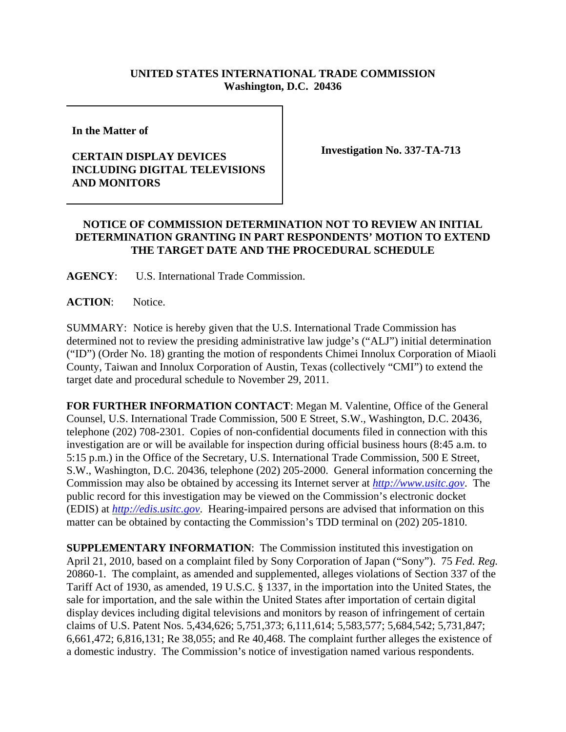## **UNITED STATES INTERNATIONAL TRADE COMMISSION Washington, D.C. 20436**

**In the Matter of** 

## **CERTAIN DISPLAY DEVICES INCLUDING DIGITAL TELEVISIONS AND MONITORS**

**Investigation No. 337-TA-713**

## **NOTICE OF COMMISSION DETERMINATION NOT TO REVIEW AN INITIAL DETERMINATION GRANTING IN PART RESPONDENTS' MOTION TO EXTEND THE TARGET DATE AND THE PROCEDURAL SCHEDULE**

**AGENCY**: U.S. International Trade Commission.

**ACTION**: Notice.

SUMMARY: Notice is hereby given that the U.S. International Trade Commission has determined not to review the presiding administrative law judge's ("ALJ") initial determination ("ID") (Order No. 18) granting the motion of respondents Chimei Innolux Corporation of Miaoli County, Taiwan and Innolux Corporation of Austin, Texas (collectively "CMI") to extend the target date and procedural schedule to November 29, 2011.

**FOR FURTHER INFORMATION CONTACT**: Megan M. Valentine, Office of the General Counsel, U.S. International Trade Commission, 500 E Street, S.W., Washington, D.C. 20436, telephone (202) 708-2301. Copies of non-confidential documents filed in connection with this investigation are or will be available for inspection during official business hours (8:45 a.m. to 5:15 p.m.) in the Office of the Secretary, U.S. International Trade Commission, 500 E Street, S.W., Washington, D.C. 20436, telephone (202) 205-2000. General information concerning the Commission may also be obtained by accessing its Internet server at *http://www.usitc.gov*. The public record for this investigation may be viewed on the Commission's electronic docket (EDIS) at *http://edis.usitc.gov*. Hearing-impaired persons are advised that information on this matter can be obtained by contacting the Commission's TDD terminal on (202) 205-1810.

**SUPPLEMENTARY INFORMATION:** The Commission instituted this investigation on April 21, 2010, based on a complaint filed by Sony Corporation of Japan ("Sony"). 75 *Fed. Reg.* 20860-1. The complaint, as amended and supplemented, alleges violations of Section 337 of the Tariff Act of 1930, as amended, 19 U.S.C. § 1337, in the importation into the United States, the sale for importation, and the sale within the United States after importation of certain digital display devices including digital televisions and monitors by reason of infringement of certain claims of U.S. Patent Nos. 5,434,626; 5,751,373; 6,111,614; 5,583,577; 5,684,542; 5,731,847; 6,661,472; 6,816,131; Re 38,055; and Re 40,468. The complaint further alleges the existence of a domestic industry. The Commission's notice of investigation named various respondents.